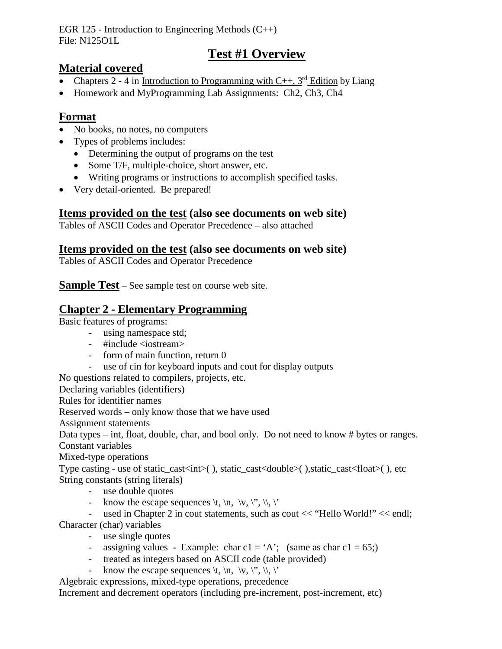EGR 125 - Introduction to Engineering Methods  $(C_{++})$ File: N125O1L

## **Test #1 Overview**

#### **Material covered**

- Chapters 2 4 in Introduction to Programming with C++,  $3^{\text{rd}}$  Edition by Liang
- Homework and MyProgramming Lab Assignments: Ch2, Ch3, Ch4

### **Format**

- No books, no notes, no computers
- Types of problems includes:
	- Determining the output of programs on the test
	- Some T/F, multiple-choice, short answer, etc.
	- Writing programs or instructions to accomplish specified tasks.
- Very detail-oriented. Be prepared!

#### **Items provided on the test (also see documents on web site)**

Tables of ASCII Codes and Operator Precedence – also attached

#### **Items provided on the test (also see documents on web site)**

Tables of ASCII Codes and Operator Precedence

**Sample Test** – See sample test on course web site.

#### **Chapter 2 - Elementary Programming**

Basic features of programs:

- using namespace std;
- $-$  #include <iostream>
- form of main function, return 0
- use of cin for keyboard inputs and cout for display outputs

No questions related to compilers, projects, etc.

Declaring variables (identifiers)

Rules for identifier names

Reserved words – only know those that we have used

Assignment statements

Data types – int, float, double, char, and bool only. Do not need to know # bytes or ranges. Constant variables

Mixed-type operations

Type casting - use of static\_cast<int>(), static\_cast<double>(), static\_cast<float>(), etc String constants (string literals)

- use double quotes
- know the escape sequences  $\forall t, \n \forall n, \forall y, \forall y, \forall z$ .

- used in Chapter 2 in cout statements, such as cout << "Hello World!" << endl;

Character (char) variables

- use single quotes
- assigning values Example: char  $c1 = 'A'$ ; (same as char  $c1 = 65$ ;)
- treated as integers based on ASCII code (table provided)
- know the escape sequences  $\langle t, \langle n, \langle v, \langle \cdot \rangle \rangle \rangle$ .

Algebraic expressions, mixed-type operations, precedence

Increment and decrement operators (including pre-increment, post-increment, etc)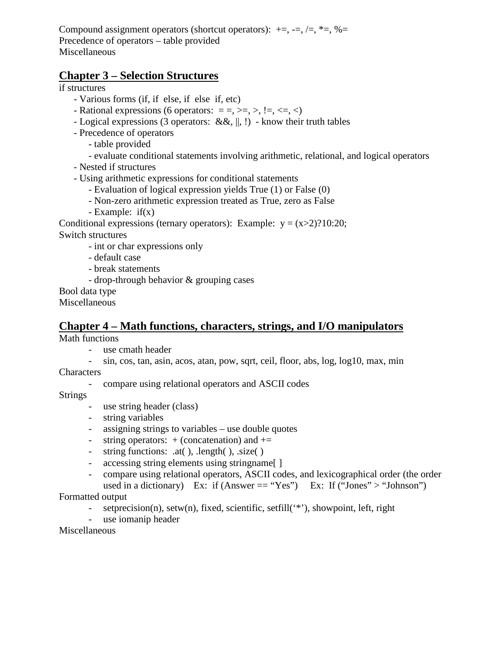Compound assignment operators (shortcut operators):  $+=, -=, /=, *=, %=$ Precedence of operators – table provided Miscellaneous

#### **Chapter 3 – Selection Structures**

if structures

- Various forms (if, if else, if else if, etc)
- Rational expressions (6 operators:  $=$  =, >=, >,  $!=,$  <=, <)
- Logical expressions (3 operators: &&,  $||, \cdot||$ ) know their truth tables
- Precedence of operators
	- table provided
	- evaluate conditional statements involving arithmetic, relational, and logical operators
- Nested if structures
- Using arithmetic expressions for conditional statements
	- Evaluation of logical expression yields True (1) or False (0)
	- Non-zero arithmetic expression treated as True, zero as False
	- Example: if(x)

Conditional expressions (ternary operators): Example:  $y = (x>2)$ ?10:20;

Switch structures

- int or char expressions only
- default case
- break statements
- drop-through behavior & grouping cases

Bool data type

Miscellaneous

#### **Chapter 4 – Math functions, characters, strings, and I/O manipulators**

Math functions

- use cmath header
- sin, cos, tan, asin, acos, atan, pow, sqrt, ceil, floor, abs, log, log10, max, min **Characters** 
	- compare using relational operators and ASCII codes

Strings

- use string header (class)
- string variables
- assigning strings to variables use double quotes
- string operators:  $+$  (concatenation) and  $+=$
- string functions: .at( ), .length( ), .size( )
- accessing string elements using stringname.
- compare using relational operators, ASCII codes, and lexicographical order (the order used in a dictionary) Ex: if  $(Answer == "Yes")$  Ex: If  $("Jones" > "Johnson")$

Formatted output

- setprecision(n), setw(n), fixed, scientific, setfill('\*'), showpoint, left, right
- use iomanip header

Miscellaneous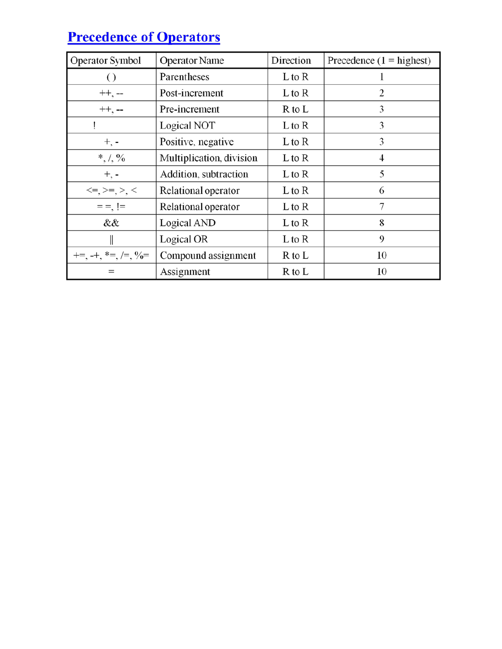# **Precedence of Operators**

| <b>Operator Symbol</b>       | <b>Operator Name</b>     | Direction | Precedence $(1 =$ highest) |  |
|------------------------------|--------------------------|-----------|----------------------------|--|
|                              | Parentheses              | L to R    |                            |  |
| $++, --$                     | Post-increment           | L to R    | 2                          |  |
| $++$ , --                    | Pre-increment            | R to L    | 3                          |  |
|                              | Logical NOT              | L to R    | 3                          |  |
| $+$ , $-$                    | Positive, negative       | L to R    | 3                          |  |
| $*, /, \%$                   | Multiplication, division | L to R    | 4                          |  |
| $+$ , $-$                    | Addition, subtraction    | L to R    | 5                          |  |
| $\leq =, \geq =, \geq, \leq$ | Relational operator      | L to R    | 6                          |  |
|                              | Relational operator      | L to R    | 7                          |  |
| &&                           | Logical AND              | L to R    | 8                          |  |
|                              | Logical OR               | L to R    | 9                          |  |
| $+=, -+, *= , /= , 9/0 =$    | Compound assignment      | R to L    | 10                         |  |
| $=$                          | Assignment               | R to L    | 10                         |  |